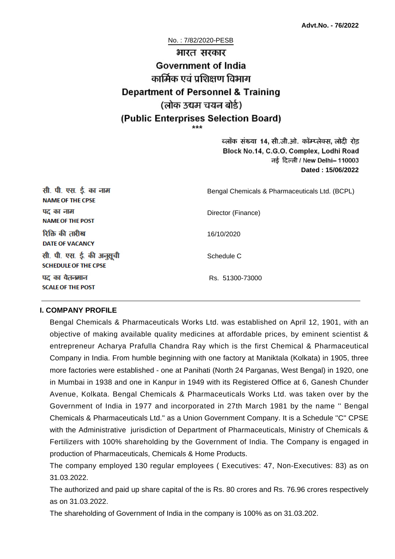No. : 7/82/2020-PESB

# भारत सरकार **Government of India** कार्मिक एवं पशिक्षण विभाग **Department of Personnel & Training** (लोक उद्यम चयन बोर्ड) (Public Enterprises Selection Board)

ब्लॉक संख्या 14, सी.जी.ओ. कॉम्प्लेक्स, लोदी रोड Block No.14, C.G.O. Complex, Lodhi Road ਰई दिल्ली / New Delhi– 110003 **Dated : 15/06/2022**

| सी. पी. एस. ई. का नाम<br><b>NAME OF THE CPSE</b>         | Bengal Chemicals & Pharmaceuticals Ltd. (BCPL) |
|----------------------------------------------------------|------------------------------------------------|
| पद का नाम<br><b>NAME OF THE POST</b>                     | Director (Finance)                             |
| रिक्ति की तारीख<br><b>DATE OF VACANCY</b>                | 16/10/2020                                     |
| सी. पी. एस. ई. की अनुसूची<br><b>SCHEDULE OF THE CPSE</b> | Schedule C                                     |
| पद का वेतनमान<br><b>SCALE OF THE POST</b>                | Rs. 51300-73000                                |

#### **I. COMPANY PROFILE**

Bengal Chemicals & Pharmaceuticals Works Ltd. was established on April 12, 1901, with an objective of making available quality medicines at affordable prices, by eminent scientist & entrepreneur Acharya Prafulla Chandra Ray which is the first Chemical & Pharmaceutical Company in India. From humble beginning with one factory at Maniktala (Kolkata) in 1905, three more factories were established - one at Panihati (North 24 Parganas, West Bengal) in 1920, one in Mumbai in 1938 and one in Kanpur in 1949 with its Registered Office at 6, Ganesh Chunder Avenue, Kolkata. Bengal Chemicals & Pharmaceuticals Works Ltd. was taken over by the Government of India in 1977 and incorporated in 27th March 1981 by the name '' Bengal Chemicals & Pharmaceuticals Ltd.'' as a Union Government Company. It is a Schedule ''C'' CPSE with the Administrative jurisdiction of Department of Pharmaceuticals, Ministry of Chemicals & Fertilizers with 100% shareholding by the Government of India. The Company is engaged in production of Pharmaceuticals, Chemicals & Home Products.

The company employed 130 regular employees ( Executives: 47, Non-Executives: 83) as on 31.03.2022.

The authorized and paid up share capital of the is Rs. 80 crores and Rs. 76.96 crores respectively as on 31.03.2022.

The shareholding of Government of India in the company is 100% as on 31.03.202.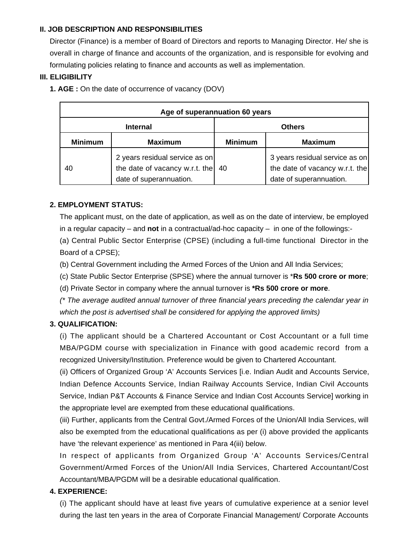## **II. JOB DESCRIPTION AND RESPONSIBILITIES**

Director (Finance) is a member of Board of Directors and reports to Managing Director. He/ she is overall in charge of finance and accounts of the organization, and is responsible for evolving and formulating policies relating to finance and accounts as well as implementation.

#### **III. ELIGIBILITY**

**1. AGE :** On the date of occurrence of vacancy (DOV)

| Age of superannuation 60 years |                                                                                             |                |                                                                                             |  |
|--------------------------------|---------------------------------------------------------------------------------------------|----------------|---------------------------------------------------------------------------------------------|--|
| <b>Internal</b>                |                                                                                             | <b>Others</b>  |                                                                                             |  |
| <b>Minimum</b>                 | <b>Maximum</b>                                                                              | <b>Minimum</b> | <b>Maximum</b>                                                                              |  |
| 40                             | 2 years residual service as on<br>the date of vacancy w.r.t. the<br>date of superannuation. | 40             | 3 years residual service as on<br>the date of vacancy w.r.t. the<br>date of superannuation. |  |

## **2. EMPLOYMENT STATUS:**

The applicant must, on the date of application, as well as on the date of interview, be employed in a regular capacity – and **not** in a contractual/ad-hoc capacity – in one of the followings:-

(a) Central Public Sector Enterprise (CPSE) (including a full-time functional Director in the Board of a CPSE);

- (b) Central Government including the Armed Forces of the Union and All India Services;
- (c) State Public Sector Enterprise (SPSE) where the annual turnover is \***Rs 500 crore or more**;
- (d) Private Sector in company where the annual turnover is **\*Rs 500 crore or more**.

(\* The average audited annual turnover of three financial years preceding the calendar year in which the post is advertised shall be considered for applying the approved limits)

#### **3. QUALIFICATION:**

(i) The applicant should be a Chartered Accountant or Cost Accountant or a full time MBA/PGDM course with specialization in Finance with good academic record from a recognized University/Institution. Preference would be given to Chartered Accountant.

(ii) Officers of Organized Group 'A' Accounts Services [i.e. Indian Audit and Accounts Service, Indian Defence Accounts Service, Indian Railway Accounts Service, Indian Civil Accounts Service, Indian P&T Accounts & Finance Service and Indian Cost Accounts Service] working in the appropriate level are exempted from these educational qualifications.

(iii) Further, applicants from the Central Govt./Armed Forces of the Union/All India Services, will also be exempted from the educational qualifications as per (i) above provided the applicants have 'the relevant experience' as mentioned in Para 4(iii) below.

In respect of applicants from Organized Group 'A' Accounts Services/Central Government/Armed Forces of the Union/All India Services, Chartered Accountant/Cost Accountant/MBA/PGDM will be a desirable educational qualification.

#### **4. EXPERIENCE:**

(i) The applicant should have at least five years of cumulative experience at a senior level during the last ten years in the area of Corporate Financial Management/ Corporate Accounts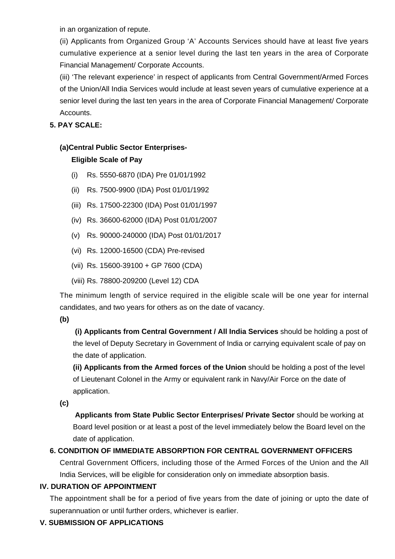in an organization of repute.

(ii) Applicants from Organized Group 'A' Accounts Services should have at least five years cumulative experience at a senior level during the last ten years in the area of Corporate Financial Management/ Corporate Accounts.

(iii) 'The relevant experience' in respect of applicants from Central Government/Armed Forces of the Union/All India Services would include at least seven years of cumulative experience at a senior level during the last ten years in the area of Corporate Financial Management/ Corporate Accounts.

## **5. PAY SCALE:**

## **(a)Central Public Sector Enterprises-**

## **Eligible Scale of Pay**

- (i) Rs. 5550-6870 (IDA) Pre 01/01/1992
- (ii) Rs. 7500-9900 (IDA) Post 01/01/1992
- (iii) Rs. 17500-22300 (IDA) Post 01/01/1997
- (iv) Rs. 36600-62000 (IDA) Post 01/01/2007
- (v) Rs. 90000-240000 (IDA) Post 01/01/2017
- (vi) Rs. 12000-16500 (CDA) Pre-revised
- (vii) Rs. 15600-39100 + GP 7600 (CDA)
- (viii) Rs. 78800-209200 (Level 12) CDA

The minimum length of service required in the eligible scale will be one year for internal candidates, and two years for others as on the date of vacancy.

#### **(b)**

**(i) Applicants from Central Government / All India Services** should be holding a post of the level of Deputy Secretary in Government of India or carrying equivalent scale of pay on the date of application.

**(ii) Applicants from the Armed forces of the Union** should be holding a post of the level of Lieutenant Colonel in the Army or equivalent rank in Navy/Air Force on the date of application.

**(c)**

 **Applicants from State Public Sector Enterprises/ Private Sector** should be working at Board level position or at least a post of the level immediately below the Board level on the date of application.

## **6. CONDITION OF IMMEDIATE ABSORPTION FOR CENTRAL GOVERNMENT OFFICERS**

Central Government Officers, including those of the Armed Forces of the Union and the All India Services, will be eligible for consideration only on immediate absorption basis.

#### **IV. DURATION OF APPOINTMENT**

The appointment shall be for a period of five years from the date of joining or upto the date of superannuation or until further orders, whichever is earlier.

## **V. SUBMISSION OF APPLICATIONS**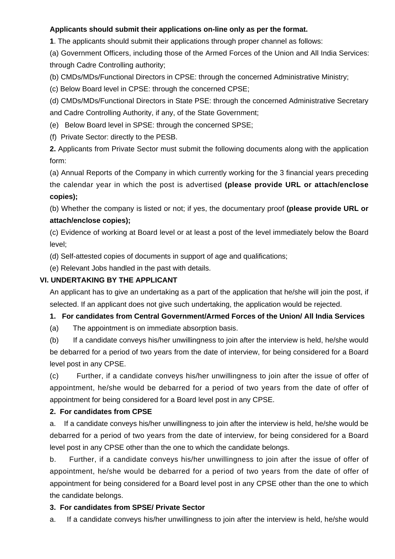## **Applicants should submit their applications on-line only as per the format.**

**1**. The applicants should submit their applications through proper channel as follows:

(a) Government Officers, including those of the Armed Forces of the Union and All India Services: through Cadre Controlling authority;

(b) CMDs/MDs/Functional Directors in CPSE: through the concerned Administrative Ministry;

(c) Below Board level in CPSE: through the concerned CPSE;

(d) CMDs/MDs/Functional Directors in State PSE: through the concerned Administrative Secretary and Cadre Controlling Authority, if any, of the State Government;

(e) Below Board level in SPSE: through the concerned SPSE;

(f) Private Sector: directly to the PESB.

**2.** Applicants from Private Sector must submit the following documents along with the application form:

(a) Annual Reports of the Company in which currently working for the 3 financial years preceding the calendar year in which the post is advertised **(please provide URL or attach/enclose copies);**

(b) Whether the company is listed or not; if yes, the documentary proof **(please provide URL or attach/enclose copies);**

(c) Evidence of working at Board level or at least a post of the level immediately below the Board level;

(d) Self-attested copies of documents in support of age and qualifications;

(e) Relevant Jobs handled in the past with details.

#### **VI. UNDERTAKING BY THE APPLICANT**

An applicant has to give an undertaking as a part of the application that he/she will join the post, if selected. If an applicant does not give such undertaking, the application would be rejected.

#### **1. For candidates from Central Government/Armed Forces of the Union/ All India Services**

(a) The appointment is on immediate absorption basis.

(b) If a candidate conveys his/her unwillingness to join after the interview is held, he/she would be debarred for a period of two years from the date of interview, for being considered for a Board level post in any CPSE.

(c) Further, if a candidate conveys his/her unwillingness to join after the issue of offer of appointment, he/she would be debarred for a period of two years from the date of offer of appointment for being considered for a Board level post in any CPSE.

#### **2. For candidates from CPSE**

a. If a candidate conveys his/her unwillingness to join after the interview is held, he/she would be debarred for a period of two years from the date of interview, for being considered for a Board level post in any CPSE other than the one to which the candidate belongs.

b. Further, if a candidate conveys his/her unwillingness to join after the issue of offer of appointment, he/she would be debarred for a period of two years from the date of offer of appointment for being considered for a Board level post in any CPSE other than the one to which the candidate belongs.

#### **3. For candidates from SPSE/ Private Sector**

a. If a candidate conveys his/her unwillingness to join after the interview is held, he/she would